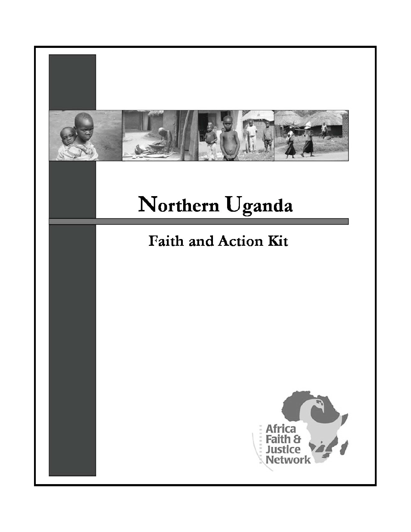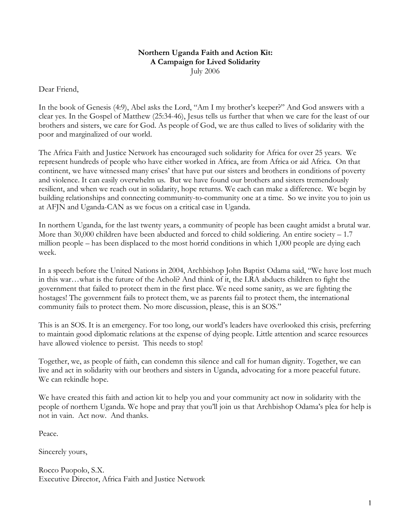#### **Northern Uganda Faith and Action Kit: A Campaign for Lived Solidarity** July 2006

Dear Friend,

In the book of Genesis (4:9), Abel asks the Lord, "Am I my brother's keeper?" And God answers with a clear yes. In the Gospel of Matthew (25:34-46), Jesus tells us further that when we care for the least of our brothers and sisters, we care for God. As people of God, we are thus called to lives of solidarity with the poor and marginalized of our world.

The Africa Faith and Justice Network has encouraged such solidarity for Africa for over 25 years. We represent hundreds of people who have either worked in Africa, are from Africa or aid Africa. On that continent, we have witnessed many crises' that have put our sisters and brothers in conditions of poverty and violence. It can easily overwhelm us. But we have found our brothers and sisters tremendously resilient, and when we reach out in solidarity, hope returns. We each can make a difference. We begin by building relationships and connecting community-to-community one at a time. So we invite you to join us at AFJN and Uganda-CAN as we focus on a critical case in Uganda.

In northern Uganda, for the last twenty years, a community of people has been caught amidst a brutal war. More than 30,000 children have been abducted and forced to child soldiering. An entire society – 1.7 million people – has been displaced to the most horrid conditions in which 1,000 people are dying each week.

In a speech before the United Nations in 2004, Archbishop John Baptist Odama said, "We have lost much in this war…what is the future of the Acholi? And think of it, the LRA abducts children to fight the government that failed to protect them in the first place. We need some sanity, as we are fighting the hostages! The government fails to protect them, we as parents fail to protect them, the international community fails to protect them. No more discussion, please, this is an SOS."

This is an SOS. It is an emergency. For too long, our world's leaders have overlooked this crisis, preferring to maintain good diplomatic relations at the expense of dying people. Little attention and scarce resources have allowed violence to persist. This needs to stop!

Together, we, as people of faith, can condemn this silence and call for human dignity. Together, we can live and act in solidarity with our brothers and sisters in Uganda, advocating for a more peaceful future. We can rekindle hope.

We have created this faith and action kit to help you and your community act now in solidarity with the people of northern Uganda. We hope and pray that you'll join us that Archbishop Odama's plea for help is not in vain. Act now. And thanks.

Peace.

Sincerely yours,

Rocco Puopolo, S.X. Executive Director, Africa Faith and Justice Network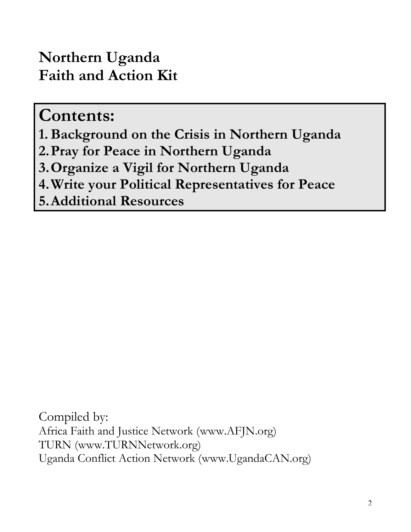**Northern Uganda Faith and Action Kit**

# **Contents:**

**1.Background on the Crisis in Northern Uganda**

**2.Pray for Peace in Northern Uganda**

**3.Organize a Vigil for Northern Uganda**

**4.Write your Political Representatives for Peace**

**5.Additional Resources**

Compiled by: Africa Faith and Justice Network (www.AFJN.org) TURN (www.TURNNetwork.org) Uganda Conflict Action Network (www.UgandaCAN.org)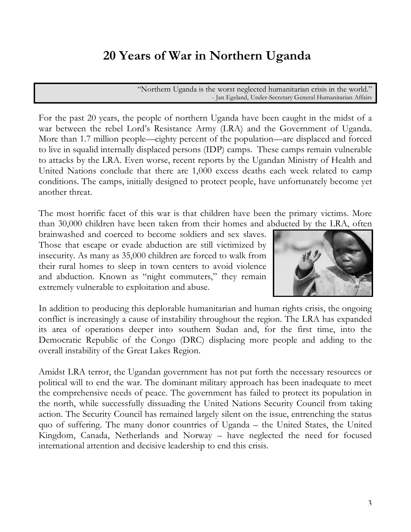## **20 Years of War in Northern Uganda**

"Northern Uganda is the worst neglected humanitarian crisis in the world." - Jan Egeland, Under-Secretary General Humanitarian Affairs

For the past 20 years, the people of northern Uganda have been caught in the midst of a war between the rebel Lord's Resistance Army (LRA) and the Government of Uganda. More than 1.7 million people—eighty percent of the population—are displaced and forced to live in squalid internally displaced persons (IDP) camps. These camps remain vulnerable to attacks by the LRA. Even worse, recent reports by the Ugandan Ministry of Health and United Nations conclude that there are 1,000 excess deaths each week related to camp conditions. The camps, initially designed to protect people, have unfortunately become yet another threat.

The most horrific facet of this war is that children have been the primary victims. More than 30,000 children have been taken from their homes and abducted by the LRA, often

brainwashed and coerced to become soldiers and sex slaves. Those that escape or evade abduction are still victimized by insecurity. As many as 35,000 children are forced to walk from their rural homes to sleep in town centers to avoid violence and abduction. Known as "night commuters," they remain extremely vulnerable to exploitation and abuse.



In addition to producing this deplorable humanitarian and human rights crisis, the ongoing conflict is increasingly a cause of instability throughout the region. The LRA has expanded its area of operations deeper into southern Sudan and, for the first time, into the Democratic Republic of the Congo (DRC) displacing more people and adding to the overall instability of the Great Lakes Region.

Amidst LRA terror, the Ugandan government has not put forth the necessary resources or political will to end the war. The dominant military approach has been inadequate to meet the comprehensive needs of peace. The government has failed to protect its population in the north, while successfully dissuading the United Nations Security Council from taking action. The Security Council has remained largely silent on the issue, entrenching the status quo of suffering. The many donor countries of Uganda – the United States, the United Kingdom, Canada, Netherlands and Norway – have neglected the need for focused international attention and decisive leadership to end this crisis.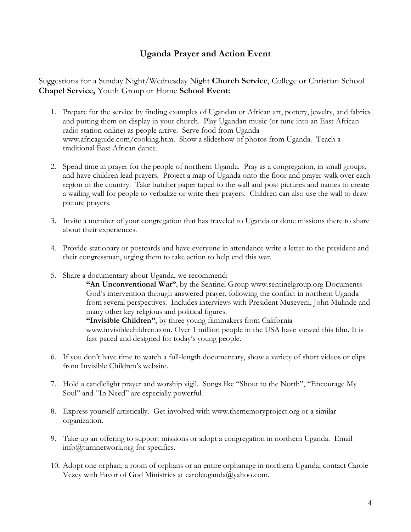### **Uganda Prayer and Action Event**

Suggestions for a Sunday Night/Wednesday Night **Church Service**, College or Christian School **Chapel Service,** Youth Group or Home **School Event:**

- 1. Prepare for the service by finding examples of Ugandan or African art, pottery, jewelry, and fabrics and putting them on display in your church. Play Ugandan music (or tune into an East African radio station online) as people arrive. Serve food from Uganda www.africaguide.com/cooking.htm. Show a slideshow of photos from Uganda. Teach a traditional East African dance.
- 2. Spend time in prayer for the people of northern Uganda. Pray as a congregation, in small groups, and have children lead prayers. Project a map of Uganda onto the floor and prayer-walk over each region of the country. Take butcher paper taped to the wall and post pictures and names to create a wailing wall for people to verbalize or write their prayers. Children can also use the wall to draw picture prayers.
- 3. Invite a member of your congregation that has traveled to Uganda or done missions there to share about their experiences.
- 4. Provide stationary or postcards and have everyone in attendance write a letter to the president and their congressman, urging them to take action to help end this war.
- 5. Share a documentary about Uganda, we recommend:

**"An Unconventional War"**, by the Sentinel Group www.sentinelgroup.org Documents God's intervention through answered prayer, following the conflict in northern Uganda from several perspectives. Includes interviews with President Museveni, John Mulinde and many other key religious and political figures.

**"Invisible Children"**, by three young filmmakers from California www.invisiblechildren.com. Over 1 million people in the USA have viewed this film. It is fast paced and designed for today's young people.

- 6. If you don't have time to watch a full-length documentary, show a variety of short videos or clips from Invisible Children's website.
- 7. Hold a candlelight prayer and worship vigil. Songs like "Shout to the North", "Encourage My Soul" and "In Need" are especially powerful.
- 8. Express yourself artistically. Get involved with www.thememoryproject.org or a similar organization.
- 9. Take up an offering to support missions or adopt a congregation in northern Uganda. Email info@turnnetwork.org for specifics.
- 10. Adopt one orphan, a room of orphans or an entire orphanage in northern Uganda; contact Carole Vezey with Favor of God Ministries at caroleuganda@yahoo.com.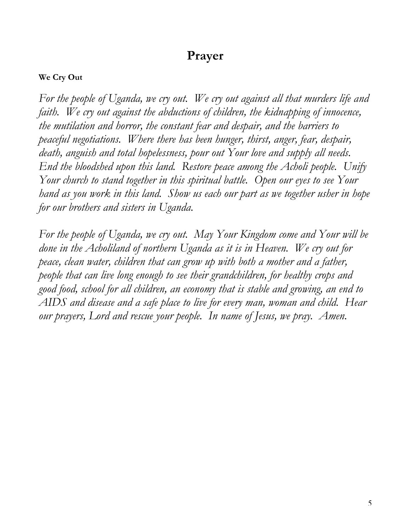## **Prayer**

## **We Cry Out**

*For the people of Uganda, we cry out. We cry out against all that murders life and faith. We cry out against the abductions of children, the kidnapping of innocence, the mutilation and horror, the constant fear and despair, and the barriers to peaceful negotiations. Where there has been hunger, thirst, anger, fear, despair, death, anguish and total hopelessness, pour out Your love and supply all needs. End the bloodshed upon this land. Restore peace among the Acholi people. Unify Your church to stand together in this spiritual battle. Open our eyes to see Your hand as you work in this land. Show us each our part as we together usher in hope for our brothers and sisters in Uganda.*

*For the people of Uganda, we cry out. May Your Kingdom come and Your will be done in the Acholiland of northern Uganda as it is in Heaven. We cry out for peace, clean water, children that can grow up with both a mother and a father, people that can live long enough to see their grandchildren, for healthy crops and good food, school for all children, an economy that is stable and growing, an end to AIDS and disease and a safe place to live for every man, woman and child. Hear our prayers, Lord and rescue your people. In name of Jesus, we pray. Amen.*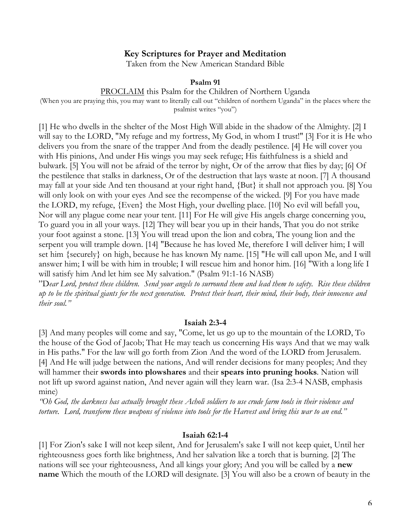#### **Key Scriptures for Prayer and Meditation**

Taken from the New American Standard Bible

#### **Psalm 91**

#### PROCLAIM this Psalm for the Children of Northern Uganda

(When you are praying this, you may want to literally call out "children of northern Uganda" in the places where the psalmist writes "you")

[1] He who dwells in the shelter of the Most High Will abide in the shadow of the Almighty. [2] I will say to the LORD, "My refuge and my fortress, My God, in whom I trust!" [3] For it is He who delivers you from the snare of the trapper And from the deadly pestilence. [4] He will cover you with His pinions, And under His wings you may seek refuge; His faithfulness is a shield and bulwark. [5] You will not be afraid of the terror by night, Or of the arrow that flies by day; [6] Of the pestilence that stalks in darkness, Or of the destruction that lays waste at noon. [7] A thousand may fall at your side And ten thousand at your right hand, {But} it shall not approach you. [8] You will only look on with your eyes And see the recompense of the wicked. [9] For you have made the LORD, my refuge, {Even} the Most High, your dwelling place. [10] No evil will befall you, Nor will any plague come near your tent. [11] For He will give His angels charge concerning you, To guard you in all your ways. [12] They will bear you up in their hands, That you do not strike your foot against a stone. [13] You will tread upon the lion and cobra, The young lion and the serpent you will trample down. [14] "Because he has loved Me, therefore I will deliver him; I will set him {securely} on high, because he has known My name. [15] "He will call upon Me, and I will answer him; I will be with him in trouble; I will rescue him and honor him. [16] "With a long life I will satisfy him And let him see My salvation." (Psalm 91:1-16 NASB)

"Dear Lord, protect these children. Send your angels to surround them and lead them to safety. Rise these children up to be the spiritual giants for the next generation. Protect their heart, their mind, their body, their innocence and *their soul."*

#### **Isaiah 2:3-4**

[3] And many peoples will come and say, "Come, let us go up to the mountain of the LORD, To the house of the God of Jacob; That He may teach us concerning His ways And that we may walk in His paths." For the law will go forth from Zion And the word of the LORD from Jerusalem. [4] And He will judge between the nations, And will render decisions for many peoples; And they will hammer their **swords into plowshares** and their **spears into pruning hooks**. Nation will not lift up sword against nation, And never again will they learn war. (Isa 2:3-4 NASB, emphasis mine)

"Oh God, the darkness has actually brought these Acholi soldiers to use crude farm tools in their violence and torture. Lord, transform these weapons of violence into tools for the Harvest and bring this war to an end."

#### **Isaiah 62:1-4**

[1] For Zion's sake I will not keep silent, And for Jerusalem's sake I will not keep quiet, Until her righteousness goes forth like brightness, And her salvation like a torch that is burning. [2] The nations will see your righteousness, And all kings your glory; And you will be called by a **new name** Which the mouth of the LORD will designate. [3] You will also be a crown of beauty in the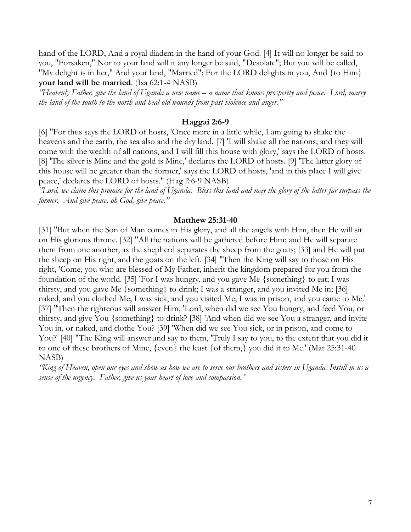hand of the LORD, And a royal diadem in the hand of your God. [4] It will no longer be said to you, "Forsaken," Nor to your land will it any longer be said, "Desolate"; But you will be called, "My delight is in her," And your land, "Married"; For the LORD delights in you, And {to Him} **your land will be married**. (Isa 62:1-4 NASB)

"Heavenly Father, give the land of Uganda a new name – a name that knows prosperity and peace. Lord, marry *the land of the south to the north and heal old wounds from past violence and anger."*

#### **Haggai 2:6-9**

[6] "For thus says the LORD of hosts, 'Once more in a little while, I am going to shake the heavens and the earth, the sea also and the dry land. [7] 'I will shake all the nations; and they will come with the wealth of all nations, and I will fill this house with glory,' says the LORD of hosts. [8] 'The silver is Mine and the gold is Mine,' declares the LORD of hosts. [9] 'The latter glory of this house will be greater than the former,' says the LORD of hosts, 'and in this place I will give peace,' declares the LORD of hosts." (Hag 2:6-9 NASB)

"Lord, we claim this promise for the land of Uganda. Bless this land and may the glory of the latter far surpass the *former. And give peace, oh God, give peace."*

#### **Matthew 25:31-40**

[31] "But when the Son of Man comes in His glory, and all the angels with Him, then He will sit on His glorious throne. [32] "All the nations will be gathered before Him; and He will separate them from one another, as the shepherd separates the sheep from the goats; [33] and He will put the sheep on His right, and the goats on the left. [34] "Then the King will say to those on His right, 'Come, you who are blessed of My Father, inherit the kingdom prepared for you from the foundation of the world. [35] 'For I was hungry, and you gave Me {something} to eat; I was thirsty, and you gave Me {something} to drink; I was a stranger, and you invited Me in; [36] naked, and you clothed Me; I was sick, and you visited Me; I was in prison, and you came to Me.' [37] "Then the righteous will answer Him, 'Lord, when did we see You hungry, and feed You, or thirsty, and give You {something} to drink? [38] 'And when did we see You a stranger, and invite You in, or naked, and clothe You? [39] 'When did we see You sick, or in prison, and come to You?' [40] "The King will answer and say to them, 'Truly I say to you, to the extent that you did it to one of these brothers of Mine, {even} the least {of them,} you did it to Me.' (Mat 25:31-40 NASB)

"King of Heaven, open our eyes and show us how we are to serve our brothers and sisters in Uganda. Instill in us a *sense of the urgency. Father, give us your heart of love and compassion."*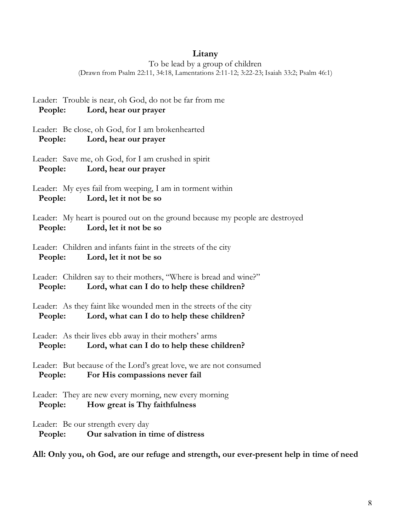#### **Litany**

To be lead by a group of children

(Drawn from Psalm 22:11, 34:18, Lamentations 2:11-12; 3:22-23; Isaiah 33:2; Psalm 46:1)

Leader: Trouble is near, oh God, do not be far from me **People: Lord, hear our prayer**

Leader: Be close, oh God, for I am brokenhearted **People: Lord, hear our prayer**

Leader: Save me, oh God, for I am crushed in spirit **People: Lord, hear our prayer**

Leader: My eyes fail from weeping, I am in torment within **People: Lord, let it not be so**

Leader: My heart is poured out on the ground because my people are destroyed **People: Lord, let it not be so**

Leader: Children and infants faint in the streets of the city **People: Lord, let it not be so**

Leader: Children say to their mothers, "Where is bread and wine?" **People: Lord, what can I do to help these children?**

Leader: As they faint like wounded men in the streets of the city **People: Lord, what can I do to help these children?**

Leader: As their lives ebb away in their mothers' arms **People: Lord, what can I do to help these children?**

Leader: But because of the Lord's great love, we are not consumed **People: For His compassions never fail**

Leader: They are new every morning, new every morning **People: How great is Thy faithfulness**

Leader: Be our strength every day **People: Our salvation in time of distress**

**All: Only you, oh God, are our refuge and strength, our ever-present help in time of need**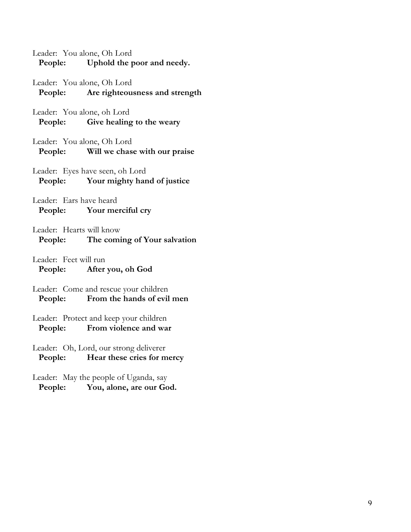Leader: You alone, Oh Lord **People: Uphold the poor and needy.**

Leader: You alone, Oh Lord **People: Are righteousness and strength**

Leader: You alone, oh Lord **People: Give healing to the weary**

Leader: You alone, Oh Lord **People: Will we chase with our praise**

Leader: Eyes have seen, oh Lord **People: Your mighty hand of justice**

Leader: Ears have heard **People: Your merciful cry**

Leader: Hearts will know **People: The coming of Your salvation**

Leader: Feet will run **People: After you, oh God**

Leader: Come and rescue your children **People: From the hands of evil men**

Leader: Protect and keep your children **People: From violence and war**

Leader: Oh, Lord, our strong deliverer **People: Hear these cries for mercy**

Leader: May the people of Uganda, say **People: You, alone, are our God.**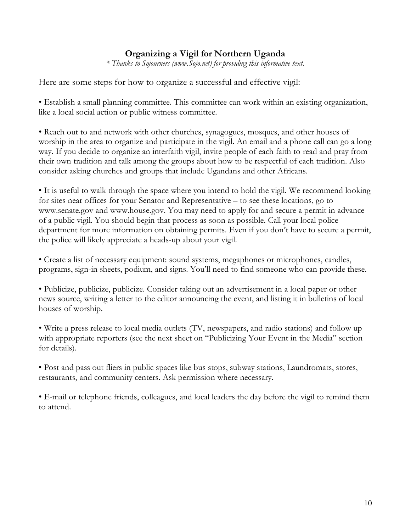### **Organizing a Vigil for Northern Uganda**

*\* Thanks to Sojourners (www.Sojo.net) for providing this informative text.*

Here are some steps for how to organize a successful and effective vigil:

• Establish a small planning committee. This committee can work within an existing organization, like a local social action or public witness committee.

• Reach out to and network with other churches, synagogues, mosques, and other houses of worship in the area to organize and participate in the vigil. An email and a phone call can go a long way. If you decide to organize an interfaith vigil, invite people of each faith to read and pray from their own tradition and talk among the groups about how to be respectful of each tradition. Also consider asking churches and groups that include Ugandans and other Africans.

• It is useful to walk through the space where you intend to hold the vigil. We recommend looking for sites near offices for your Senator and Representative – to see these locations, go to www.senate.gov and www.house.gov. You may need to apply for and secure a permit in advance of a public vigil. You should begin that process as soon as possible. Call your local police department for more information on obtaining permits. Even if you don't have to secure a permit, the police will likely appreciate a heads-up about your vigil.

• Create a list of necessary equipment: sound systems, megaphones or microphones, candles, programs, sign-in sheets, podium, and signs. You'll need to find someone who can provide these.

• Publicize, publicize, publicize. Consider taking out an advertisement in a local paper or other news source, writing a letter to the editor announcing the event, and listing it in bulletins of local houses of worship.

• Write a press release to local media outlets (TV, newspapers, and radio stations) and follow up with appropriate reporters (see the next sheet on "Publicizing Your Event in the Media" section for details).

• Post and pass out fliers in public spaces like bus stops, subway stations, Laundromats, stores, restaurants, and community centers. Ask permission where necessary.

• E-mail or telephone friends, colleagues, and local leaders the day before the vigil to remind them to attend.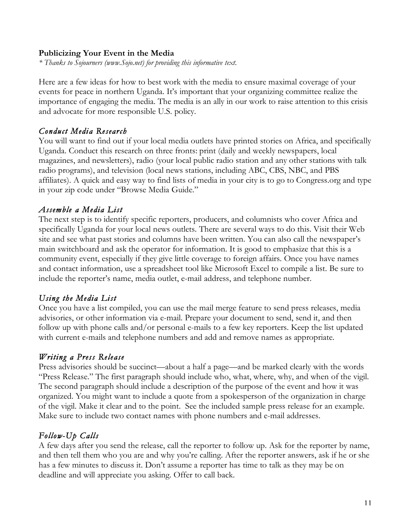#### **Publicizing Your Event in the Media**

*\* Thanks to Sojourners (www.Sojo.net) for providing this informative text.*

Here are a few ideas for how to best work with the media to ensure maximal coverage of your events for peace in northern Uganda. It's important that your organizing committee realize the importance of engaging the media. The media is an ally in our work to raise attention to this crisis and advocate for more responsible U.S. policy.

#### *Conduct Medi a Research*

You will want to find out if your local media outlets have printed stories on Africa, and specifically Uganda. Conduct this research on three fronts: print (daily and weekly newspapers, local magazines, and newsletters), radio (your local public radio station and any other stations with talk radio programs), and television (local news stations, including ABC, CBS, NBC, and PBS affiliates). A quick and easy way to find lists of media in your city is to go to Congress.org and type in your zip code under "Browse Media Guide."

## *Assemble a Media List*

The next step is to identify specific reporters, producers, and columnists who cover Africa and specifically Uganda for your local news outlets. There are several ways to do this. Visit their Web site and see what past stories and columns have been written. You can also call the newspaper's main switchboard and ask the operator for information. It is good to emphasize that this is a community event, especially if they give little coverage to foreign affairs. Once you have names and contact information, use a spreadsheet tool like Microsoft Excel to compile a list. Be sure to include the reporter's name, media outlet, e-mail address, and telephone number.

## *Using the Media List*

Once you have a list compiled, you can use the mail merge feature to send press releases, media advisories, or other information via e-mail. Prepare your document to send, send it, and then follow up with phone calls and/or personal e-mails to a few key reporters. Keep the list updated with current e-mails and telephone numbers and add and remove names as appropriate.

## *Writing a Press Release*

Press advisories should be succinct—about a half a page—and be marked clearly with the words "Press Release." The first paragraph should include who, what, where, why, and when of the vigil. The second paragraph should include a description of the purpose of the event and how it was organized. You might want to include a quote from a spokesperson of the organization in charge of the vigil. Make it clear and to the point. See the included sample press release for an example. Make sure to include two contact names with phone numbers and e-mail addresses.

## *Follow-Up Calls*

A few days after you send the release, call the reporter to follow up. Ask for the reporter by name, and then tell them who you are and why you're calling. After the reporter answers, ask if he or she has a few minutes to discuss it. Don't assume a reporter has time to talk as they may be on deadline and will appreciate you asking. Offer to call back.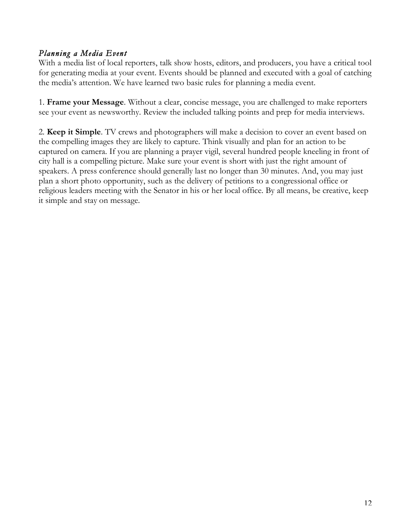## *Planning a Media Event*

With a media list of local reporters, talk show hosts, editors, and producers, you have a critical tool for generating media at your event. Events should be planned and executed with a goal of catching the media's attention. We have learned two basic rules for planning a media event.

1. **Frame your Message**. Without a clear, concise message, you are challenged to make reporters see your event as newsworthy. Review the included talking points and prep for media interviews.

2. **Keep it Simple**. TV crews and photographers will make a decision to cover an event based on the compelling images they are likely to capture. Think visually and plan for an action to be captured on camera. If you are planning a prayer vigil, several hundred people kneeling in front of city hall is a compelling picture. Make sure your event is short with just the right amount of speakers. A press conference should generally last no longer than 30 minutes. And, you may just plan a short photo opportunity, such as the delivery of petitions to a congressional office or religious leaders meeting with the Senator in his or her local office. By all means, be creative, keep it simple and stay on message.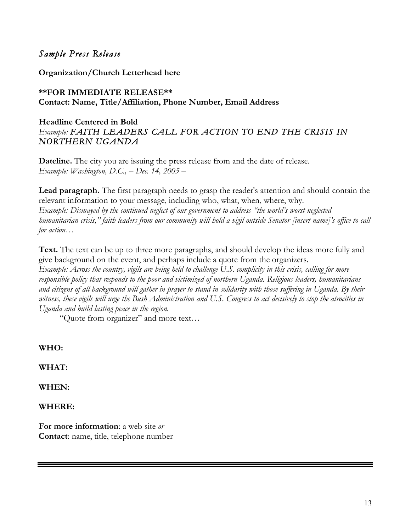## *Sample Press Release*

#### **Organization/Church Letterhead here**

#### **\*\*FOR IMMEDIATE RELEASE\*\* Contact: Name, Title/Affiliation, Phone Number, Email Address**

#### **Headline Centered in Bold** *Example: FAITH LEADERS CALL FOR ACTION TO END THE CRISIS IN NORTHERN UGANDA*

**Dateline.** The city you are issuing the press release from and the date of release. *Example: Washington, D.C., – Dec. 14, 2005 –*

**Lead paragraph.** The first paragraph needs to grasp the reader's attention and should contain the relevant information to your message, including who, what, when, where, why.

*Example: Dismayed by the continued neglect of our government to address "the world's worst neglected* humanitarian crisis," faith leaders from our community will hold a vigil outside Senator [insert name]'s office to call *for action…* 

**Text.** The text can be up to three more paragraphs, and should develop the ideas more fully and give background on the event, and perhaps include a quote from the organizers.

Example: Across the country, vigils are being held to challenge U.S. complicity in this crisis, calling for more *responsible policy that responds to the poor and victimized of northern Uganda. Religious leaders, humanitarians* and citizens of all background will gather in prayer to stand in solidarity with those suffering in Uganda. By their witness, these vigils will urge the Bush Administration and U.S. Congress to act decisively to stop the atrocities in *Uganda and build lasting peace in the region.*

"Quote from organizer" and more text…

**WHO:**

**WHAT:**

**WHEN:**

**WHERE:**

**For more information**: a web site *or* **Contact**: name, title, telephone number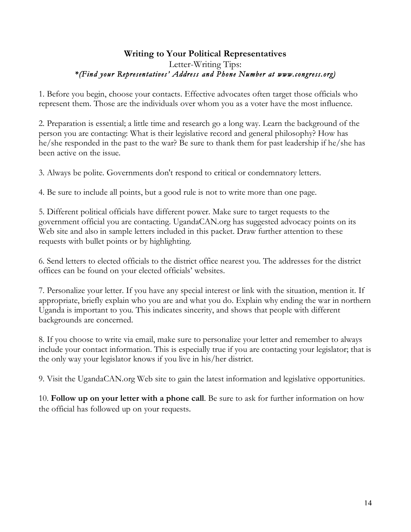### **Writing to Your Political Representatives** Letter-Writing Tips: *\*(Find your Representatives' Address and Phone Number at www.congress.org)*

1. Before you begin, choose your contacts. Effective advocates often target those officials who represent them. Those are the individuals over whom you as a voter have the most influence.

2. Preparation is essential; a little time and research go a long way. Learn the background of the person you are contacting: What is their legislative record and general philosophy? How has he/she responded in the past to the war? Be sure to thank them for past leadership if he/she has been active on the issue.

3. Always be polite. Governments don't respond to critical or condemnatory letters.

4. Be sure to include all points, but a good rule is not to write more than one page.

5. Different political officials have different power. Make sure to target requests to the government official you are contacting. UgandaCAN.org has suggested advocacy points on its Web site and also in sample letters included in this packet. Draw further attention to these requests with bullet points or by highlighting.

6. Send letters to elected officials to the district office nearest you. The addresses for the district offices can be found on your elected officials' websites.

7. Personalize your letter. If you have any special interest or link with the situation, mention it. If appropriate, briefly explain who you are and what you do. Explain why ending the war in northern Uganda is important to you. This indicates sincerity, and shows that people with different backgrounds are concerned.

8. If you choose to write via email, make sure to personalize your letter and remember to always include your contact information. This is especially true if you are contacting your legislator; that is the only way your legislator knows if you live in his/her district.

9. Visit the UgandaCAN.org Web site to gain the latest information and legislative opportunities.

10. **Follow up on your letter with a phone call**. Be sure to ask for further information on how the official has followed up on your requests.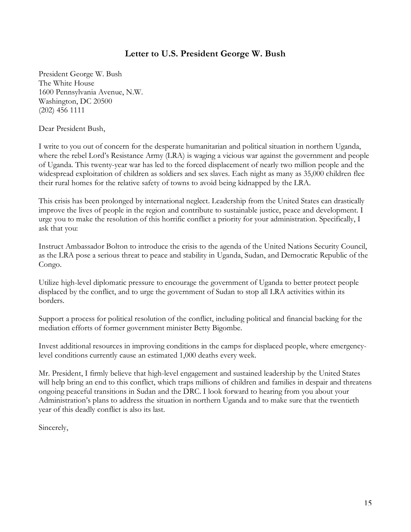### **Letter to U.S. President George W. Bush**

President George W. Bush The White House 1600 Pennsylvania Avenue, N.W. Washington, DC 20500 (202) 456 1111

Dear President Bush,

I write to you out of concern for the desperate humanitarian and political situation in northern Uganda, where the rebel Lord's Resistance Army (LRA) is waging a vicious war against the government and people of Uganda. This twenty-year war has led to the forced displacement of nearly two million people and the widespread exploitation of children as soldiers and sex slaves. Each night as many as 35,000 children flee their rural homes for the relative safety of towns to avoid being kidnapped by the LRA.

This crisis has been prolonged by international neglect. Leadership from the United States can drastically improve the lives of people in the region and contribute to sustainable justice, peace and development. I urge you to make the resolution of this horrific conflict a priority for your administration. Specifically, I ask that you:

Instruct Ambassador Bolton to introduce the crisis to the agenda of the United Nations Security Council, as the LRA pose a serious threat to peace and stability in Uganda, Sudan, and Democratic Republic of the Congo.

Utilize high-level diplomatic pressure to encourage the government of Uganda to better protect people displaced by the conflict, and to urge the government of Sudan to stop all LRA activities within its borders.

Support a process for political resolution of the conflict, including political and financial backing for the mediation efforts of former government minister Betty Bigombe.

Invest additional resources in improving conditions in the camps for displaced people, where emergencylevel conditions currently cause an estimated 1,000 deaths every week.

Mr. President, I firmly believe that high-level engagement and sustained leadership by the United States will help bring an end to this conflict, which traps millions of children and families in despair and threatens ongoing peaceful transitions in Sudan and the DRC. I look forward to hearing from you about your Administration's plans to address the situation in northern Uganda and to make sure that the twentieth year of this deadly conflict is also its last.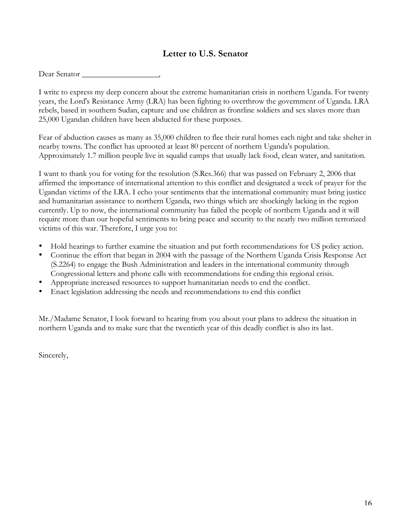#### **Letter to U.S. Senator**

Dear Senator

I write to express my deep concern about the extreme humanitarian crisis in northern Uganda. For twenty years, the Lord's Resistance Army (LRA) has been fighting to overthrow the government of Uganda. LRA rebels, based in southern Sudan, capture and use children as frontline soldiers and sex slaves more than 25,000 Ugandan children have been abducted for these purposes.

Fear of abduction causes as many as 35,000 children to flee their rural homes each night and take shelter in nearby towns. The conflict has uprooted at least 80 percent of northern Uganda's population. Approximately 1.7 million people live in squalid camps that usually lack food, clean water, and sanitation.

I want to thank you for voting for the resolution (S.Res.366) that was passed on February 2, 2006 that affirmed the importance of international attention to this conflict and designated a week of prayer for the Ugandan victims of the LRA. I echo your sentiments that the international community must bring justice and humanitarian assistance to northern Uganda, two things which are shockingly lacking in the region currently. Up to now, the international community has failed the people of northern Uganda and it will require more than our hopeful sentiments to bring peace and security to the nearly two million terrorized victims of this war. Therefore, I urge you to:

- Hold hearings to further examine the situation and put forth recommendations for US policy action.
- Continue the effort that began in 2004 with the passage of the Northern Uganda Crisis Response Act (S.2264) to engage the Bush Administration and leaders in the international community through Congressional letters and phone calls with recommendations for ending this regional crisis.
- Appropriate increased resources to support humanitarian needs to end the conflict.
- Enact legislation addressing the needs and recommendations to end this conflict

Mr./Madame Senator, I look forward to hearing from you about your plans to address the situation in northern Uganda and to make sure that the twentieth year of this deadly conflict is also its last.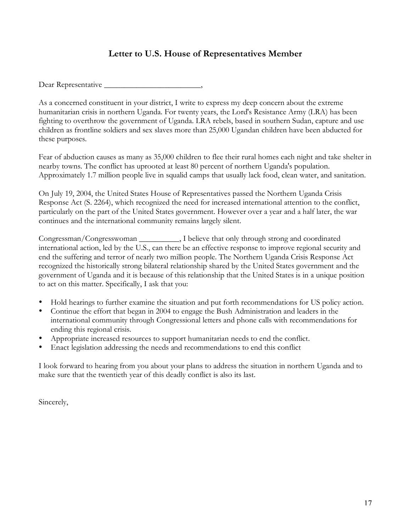## **Letter to U.S. House of Representatives Member**

Dear Representative

As a concerned constituent in your district, I write to express my deep concern about the extreme humanitarian crisis in northern Uganda. For twenty years, the Lord's Resistance Army (LRA) has been fighting to overthrow the government of Uganda. LRA rebels, based in southern Sudan, capture and use children as frontline soldiers and sex slaves more than 25,000 Ugandan children have been abducted for these purposes.

Fear of abduction causes as many as 35,000 children to flee their rural homes each night and take shelter in nearby towns. The conflict has uprooted at least 80 percent of northern Uganda's population. Approximately 1.7 million people live in squalid camps that usually lack food, clean water, and sanitation.

On July 19, 2004, the United States House of Representatives passed the Northern Uganda Crisis Response Act (S. 2264), which recognized the need for increased international attention to the conflict, particularly on the part of the United States government. However over a year and a half later, the war continues and the international community remains largely silent.

Congressman/Congresswoman \_\_\_\_\_\_\_\_\_\_, I believe that only through strong and coordinated international action, led by the U.S., can there be an effective response to improve regional security and end the suffering and terror of nearly two million people. The Northern Uganda Crisis Response Act recognized the historically strong bilateral relationship shared by the United States government and the government of Uganda and it is because of this relationship that the United States is in a unique position to act on this matter. Specifically, I ask that you:

- Hold hearings to further examine the situation and put forth recommendations for US policy action.
- Continue the effort that began in 2004 to engage the Bush Administration and leaders in the international community through Congressional letters and phone calls with recommendations for ending this regional crisis.
- Appropriate increased resources to support humanitarian needs to end the conflict.
- Enact legislation addressing the needs and recommendations to end this conflict

I look forward to hearing from you about your plans to address the situation in northern Uganda and to make sure that the twentieth year of this deadly conflict is also its last.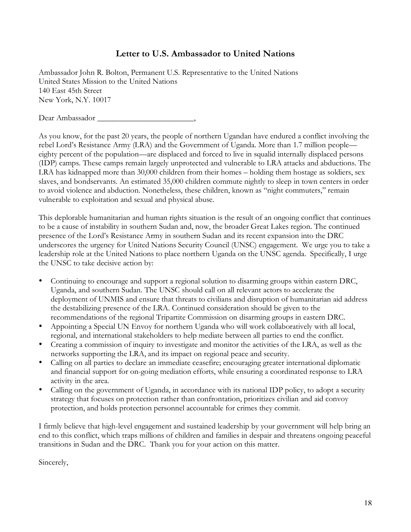#### **Letter to U.S. Ambassador to United Nations**

Ambassador John R. Bolton, Permanent U.S. Representative to the United Nations United States Mission to the United Nations 140 East 45th Street New York, N.Y. 10017

Dear Ambassador \_\_\_\_\_\_\_\_\_\_\_\_\_\_\_\_\_\_\_\_\_\_\_\_,

As you know, for the past 20 years, the people of northern Ugandan have endured a conflict involving the rebel Lord's Resistance Army (LRA) and the Government of Uganda. More than 1.7 million people eighty percent of the population—are displaced and forced to live in squalid internally displaced persons (IDP) camps. These camps remain largely unprotected and vulnerable to LRA attacks and abductions. The LRA has kidnapped more than 30,000 children from their homes – holding them hostage as soldiers, sex slaves, and bondservants. An estimated 35,000 children commute nightly to sleep in town centers in order to avoid violence and abduction. Nonetheless, these children, known as "night commuters," remain vulnerable to exploitation and sexual and physical abuse.

This deplorable humanitarian and human rights situation is the result of an ongoing conflict that continues to be a cause of instability in southern Sudan and, now, the broader Great Lakes region. The continued presence of the Lord's Resistance Army in southern Sudan and its recent expansion into the DRC underscores the urgency for United Nations Security Council (UNSC) engagement. We urge you to take a leadership role at the United Nations to place northern Uganda on the UNSC agenda. Specifically, I urge the UNSC to take decisive action by:

- Continuing to encourage and support a regional solution to disarming groups within eastern DRC, Uganda, and southern Sudan. The UNSC should call on all relevant actors to accelerate the deployment of UNMIS and ensure that threats to civilians and disruption of humanitarian aid address the destabilizing presence of the LRA. Continued consideration should be given to the recommendations of the regional Tripartite Commission on disarming groups in eastern DRC.
- Appointing a Special UN Envoy for northern Uganda who will work collaboratively with all local, regional, and international stakeholders to help mediate between all parties to end the conflict.
- Creating a commission of inquiry to investigate and monitor the activities of the LRA, as well as the networks supporting the LRA, and its impact on regional peace and security.
- Calling on all parties to declare an immediate ceasefire; encouraging greater international diplomatic and financial support for on-going mediation efforts, while ensuring a coordinated response to LRA activity in the area.
- Calling on the government of Uganda, in accordance with its national IDP policy, to adopt a security strategy that focuses on protection rather than confrontation, prioritizes civilian and aid convoy protection, and holds protection personnel accountable for crimes they commit.

I firmly believe that high-level engagement and sustained leadership by your government will help bring an end to this conflict, which traps millions of children and families in despair and threatens ongoing peaceful transitions in Sudan and the DRC. Thank you for your action on this matter.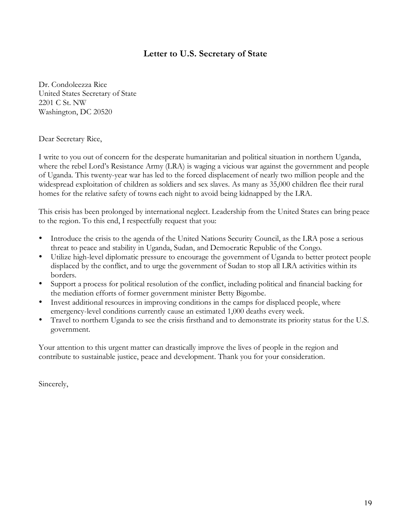#### **Letter to U.S. Secretary of State**

Dr. Condoleezza Rice United States Secretary of State 2201 C St. NW Washington, DC 20520

Dear Secretary Rice,

I write to you out of concern for the desperate humanitarian and political situation in northern Uganda, where the rebel Lord's Resistance Army (LRA) is waging a vicious war against the government and people of Uganda. This twenty-year war has led to the forced displacement of nearly two million people and the widespread exploitation of children as soldiers and sex slaves. As many as 35,000 children flee their rural homes for the relative safety of towns each night to avoid being kidnapped by the LRA.

This crisis has been prolonged by international neglect. Leadership from the United States can bring peace to the region. To this end, I respectfully request that you:

- Introduce the crisis to the agenda of the United Nations Security Council, as the LRA pose a serious threat to peace and stability in Uganda, Sudan, and Democratic Republic of the Congo.
- Utilize high-level diplomatic pressure to encourage the government of Uganda to better protect people displaced by the conflict, and to urge the government of Sudan to stop all LRA activities within its borders.
- Support a process for political resolution of the conflict, including political and financial backing for the mediation efforts of former government minister Betty Bigombe.
- Invest additional resources in improving conditions in the camps for displaced people, where emergency-level conditions currently cause an estimated 1,000 deaths every week.
- Travel to northern Uganda to see the crisis firsthand and to demonstrate its priority status for the U.S. government.

Your attention to this urgent matter can drastically improve the lives of people in the region and contribute to sustainable justice, peace and development. Thank you for your consideration.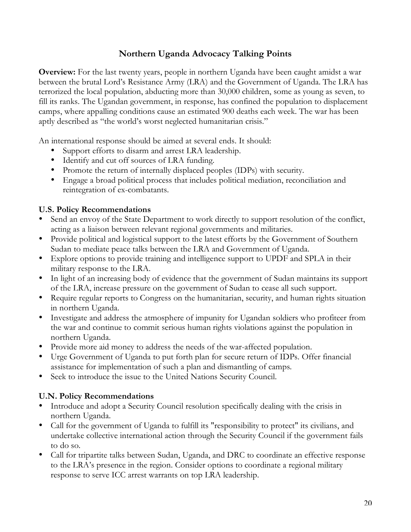## **Northern Uganda Advocacy Talking Points**

**Overview:** For the last twenty years, people in northern Uganda have been caught amidst a war between the brutal Lord's Resistance Army (LRA) and the Government of Uganda. The LRA has terrorized the local population, abducting more than 30,000 children, some as young as seven, to fill its ranks. The Ugandan government, in response, has confined the population to displacement camps, where appalling conditions cause an estimated 900 deaths each week. The war has been aptly described as "the world's worst neglected humanitarian crisis."

An international response should be aimed at several ends. It should:

- Support efforts to disarm and arrest LRA leadership.
- Identify and cut off sources of LRA funding.
- Promote the return of internally displaced peoples (IDPs) with security.
- Engage a broad political process that includes political mediation, reconciliation and reintegration of ex-combatants.

## **U.S. Policy Recommendations**

- Send an envoy of the State Department to work directly to support resolution of the conflict, acting as a liaison between relevant regional governments and militaries.
- Provide political and logistical support to the latest efforts by the Government of Southern Sudan to mediate peace talks between the LRA and Government of Uganda.
- Explore options to provide training and intelligence support to UPDF and SPLA in their military response to the LRA.
- In light of an increasing body of evidence that the government of Sudan maintains its support of the LRA, increase pressure on the government of Sudan to cease all such support.
- Require regular reports to Congress on the humanitarian, security, and human rights situation in northern Uganda.
- Investigate and address the atmosphere of impunity for Ugandan soldiers who profiteer from the war and continue to commit serious human rights violations against the population in northern Uganda.
- Provide more aid money to address the needs of the war-affected population.
- Urge Government of Uganda to put forth plan for secure return of IDPs. Offer financial assistance for implementation of such a plan and dismantling of camps.
- Seek to introduce the issue to the United Nations Security Council.

## **U.N. Policy Recommendations**

- Introduce and adopt a Security Council resolution specifically dealing with the crisis in northern Uganda.
- Call for the government of Uganda to fulfill its "responsibility to protect" its civilians, and undertake collective international action through the Security Council if the government fails to do so.
- Call for tripartite talks between Sudan, Uganda, and DRC to coordinate an effective response to the LRA's presence in the region. Consider options to coordinate a regional military response to serve ICC arrest warrants on top LRA leadership.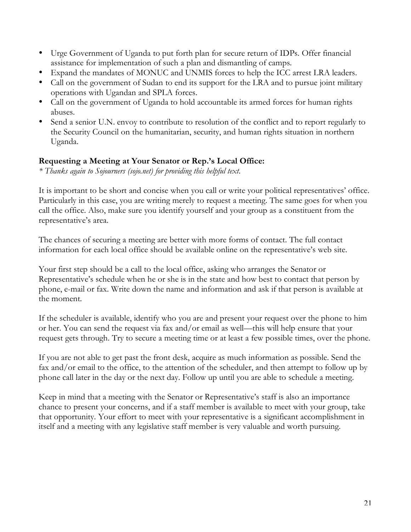- Urge Government of Uganda to put forth plan for secure return of IDPs. Offer financial assistance for implementation of such a plan and dismantling of camps.
- Expand the mandates of MONUC and UNMIS forces to help the ICC arrest LRA leaders.
- Call on the government of Sudan to end its support for the LRA and to pursue joint military operations with Ugandan and SPLA forces.
- Call on the government of Uganda to hold accountable its armed forces for human rights abuses.
- Send a senior U.N. envoy to contribute to resolution of the conflict and to report regularly to the Security Council on the humanitarian, security, and human rights situation in northern Uganda.

## **Requesting a Meeting at Your Senator or Rep.'s Local Office:**

*\* Thanks again to Sojourners (sojo.net) for providing this helpful text.*

It is important to be short and concise when you call or write your political representatives' office. Particularly in this case, you are writing merely to request a meeting. The same goes for when you call the office. Also, make sure you identify yourself and your group as a constituent from the representative's area.

The chances of securing a meeting are better with more forms of contact. The full contact information for each local office should be available online on the representative's web site.

Your first step should be a call to the local office, asking who arranges the Senator or Representative's schedule when he or she is in the state and how best to contact that person by phone, e-mail or fax. Write down the name and information and ask if that person is available at the moment.

If the scheduler is available, identify who you are and present your request over the phone to him or her. You can send the request via fax and/or email as well—this will help ensure that your request gets through. Try to secure a meeting time or at least a few possible times, over the phone.

If you are not able to get past the front desk, acquire as much information as possible. Send the fax and/or email to the office, to the attention of the scheduler, and then attempt to follow up by phone call later in the day or the next day. Follow up until you are able to schedule a meeting.

Keep in mind that a meeting with the Senator or Representative's staff is also an importance chance to present your concerns, and if a staff member is available to meet with your group, take that opportunity. Your effort to meet with your representative is a significant accomplishment in itself and a meeting with any legislative staff member is very valuable and worth pursuing.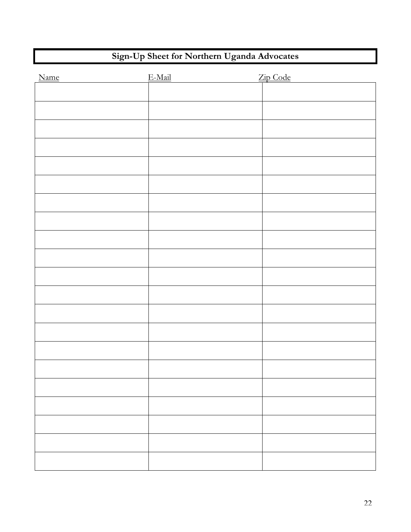## **Sign-Up Sheet for Northern Uganda Advocates**

| Name | E-Mail | Zip Code |
|------|--------|----------|
|      |        |          |
|      |        |          |
|      |        |          |
|      |        |          |
|      |        |          |
|      |        |          |
|      |        |          |
|      |        |          |
|      |        |          |
|      |        |          |
|      |        |          |
|      |        |          |
|      |        |          |
|      |        |          |
|      |        |          |
|      |        |          |
|      |        |          |
|      |        |          |
|      |        |          |
|      |        |          |
|      |        |          |
|      |        |          |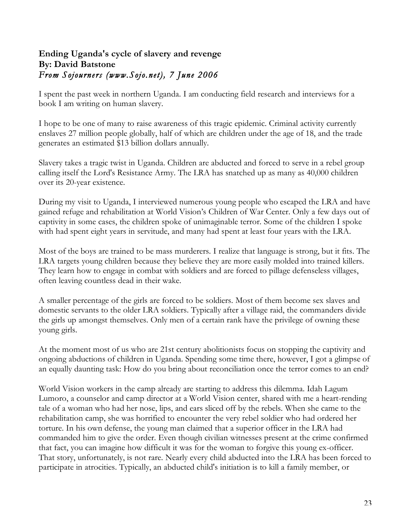## **Ending Uganda's cycle of slavery and revenge By: David Batstone** *From Sojourners (www.Sojo.net), 7 June 2006*

I spent the past week in northern Uganda. I am conducting field research and interviews for a book I am writing on human slavery.

I hope to be one of many to raise awareness of this tragic epidemic. Criminal activity currently enslaves 27 million people globally, half of which are children under the age of 18, and the trade generates an estimated \$13 billion dollars annually.

Slavery takes a tragic twist in Uganda. Children are abducted and forced to serve in a rebel group calling itself the Lord's Resistance Army. The LRA has snatched up as many as 40,000 children over its 20-year existence.

During my visit to Uganda, I interviewed numerous young people who escaped the LRA and have gained refuge and rehabilitation at World Vision's Children of War Center. Only a few days out of captivity in some cases, the children spoke of unimaginable terror. Some of the children I spoke with had spent eight years in servitude, and many had spent at least four years with the LRA.

Most of the boys are trained to be mass murderers. I realize that language is strong, but it fits. The LRA targets young children because they believe they are more easily molded into trained killers. They learn how to engage in combat with soldiers and are forced to pillage defenseless villages, often leaving countless dead in their wake.

A smaller percentage of the girls are forced to be soldiers. Most of them become sex slaves and domestic servants to the older LRA soldiers. Typically after a village raid, the commanders divide the girls up amongst themselves. Only men of a certain rank have the privilege of owning these young girls.

At the moment most of us who are 21st century abolitionists focus on stopping the captivity and ongoing abductions of children in Uganda. Spending some time there, however, I got a glimpse of an equally daunting task: How do you bring about reconciliation once the terror comes to an end?

World Vision workers in the camp already are starting to address this dilemma. Idah Lagum Lumoro, a counselor and camp director at a World Vision center, shared with me a heart-rending tale of a woman who had her nose, lips, and ears sliced off by the rebels. When she came to the rehabilitation camp, she was horrified to encounter the very rebel soldier who had ordered her torture. In his own defense, the young man claimed that a superior officer in the LRA had commanded him to give the order. Even though civilian witnesses present at the crime confirmed that fact, you can imagine how difficult it was for the woman to forgive this young ex-officer. That story, unfortunately, is not rare. Nearly every child abducted into the LRA has been forced to participate in atrocities. Typically, an abducted child's initiation is to kill a family member, or